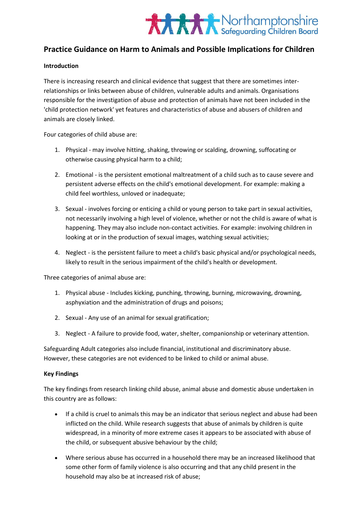

# **Practice Guidance on Harm to Animals and Possible Implications for Children**

## **Introduction**

There is increasing research and clinical evidence that suggest that there are sometimes interrelationships or links between abuse of children, vulnerable adults and animals. Organisations responsible for the investigation of abuse and protection of animals have not been included in the 'child protection network' yet features and characteristics of abuse and abusers of children and animals are closely linked.

Four categories of child abuse are:

- 1. Physical may involve hitting, shaking, throwing or scalding, drowning, suffocating or otherwise causing physical harm to a child;
- 2. Emotional is the persistent emotional maltreatment of a child such as to cause severe and persistent adverse effects on the child's emotional development. For example: making a child feel worthless, unloved or inadequate;
- 3. Sexual involves forcing or enticing a child or young person to take part in sexual activities, not necessarily involving a high level of violence, whether or not the child is aware of what is happening. They may also include non-contact activities. For example: involving children in looking at or in the production of sexual images, watching sexual activities;
- 4. Neglect is the persistent failure to meet a child's basic physical and/or psychological needs, likely to result in the serious impairment of the child's health or development.

Three categories of animal abuse are:

- 1. Physical abuse Includes kicking, punching, throwing, burning, microwaving, drowning, asphyxiation and the administration of drugs and poisons;
- 2. Sexual Any use of an animal for sexual gratification;
- 3. Neglect A failure to provide food, water, shelter, companionship or veterinary attention.

Safeguarding Adult categories also include financial, institutional and discriminatory abuse. However, these categories are not evidenced to be linked to child or animal abuse.

### **Key Findings**

The key findings from research linking child abuse, animal abuse and domestic abuse undertaken in this country are as follows:

- If a child is cruel to animals this may be an indicator that serious neglect and abuse had been inflicted on the child. While research suggests that abuse of animals by children is quite widespread, in a minority of more extreme cases it appears to be associated with abuse of the child, or subsequent abusive behaviour by the child;
- Where serious abuse has occurred in a household there may be an increased likelihood that some other form of family violence is also occurring and that any child present in the household may also be at increased risk of abuse;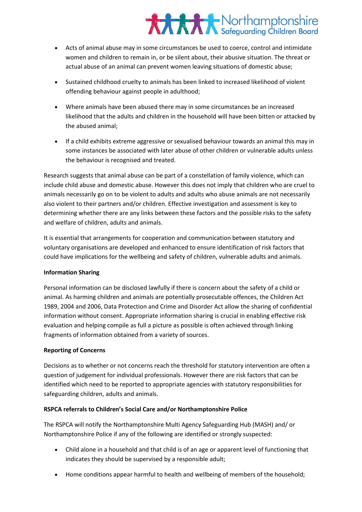# **XXXX** Northamptonshire

- Acts of animal abuse may in some circumstances be used to coerce, control and intimidate women and children to remain in, or be silent about, their abusive situation. The threat or actual abuse of an animal can prevent women leaving situations of domestic abuse;
- Sustained childhood cruelty to animals has been linked to increased likelihood of violent offending behaviour against people in adulthood;
- Where animals have been abused there may in some circumstances be an increased likelihood that the adults and children in the household will have been bitten or attacked by the abused animal;
- If a child exhibits extreme aggressive or sexualised behaviour towards an animal this may in some instances be associated with later abuse of other children or vulnerable adults unless the behaviour is recognised and treated.

Research suggests that animal abuse can be part of a constellation of family violence, which can include child abuse and domestic abuse. However this does not imply that children who are cruel to animals necessarily go on to be violent to adults and adults who abuse animals are not necessarily also violent to their partners and/or children. Effective investigation and assessment is key to determining whether there are any links between these factors and the possible risks to the safety and welfare of children, adults and animals.

It is essential that arrangements for cooperation and communication between statutory and voluntary organisations are developed and enhanced to ensure identification of risk factors that could have implications for the wellbeing and safety of children, vulnerable adults and animals.

## **Information Sharing**

Personal information can be disclosed lawfully if there is concern about the safety of a child or animal. As harming children and animals are potentially prosecutable offences, the Children Act 1989, 2004 and 2006, Data Protection and Crime and Disorder Act allow the sharing of confidential information without consent. Appropriate information sharing is crucial in enabling effective risk evaluation and helping compile as full a picture as possible is often achieved through linking fragments of information obtained from a variety of sources.

# **Reporting of Concerns**

Decisions as to whether or not concerns reach the threshold for statutory intervention are often a question of judgement for individual professionals. However there are risk factors that can be identified which need to be reported to appropriate agencies with statutory responsibilities for safeguarding children, adults and animals.

# **RSPCA referrals to Children's Social Care and/or Northamptonshire Police**

The RSPCA will notify the Northamptonshire Multi Agency Safeguarding Hub (MASH) and/ or Northamptonshire Police if any of the following are identified or strongly suspected:

- Child alone in a household and that child is of an age or apparent level of functioning that indicates they should be supervised by a responsible adult;
- Home conditions appear harmful to health and wellbeing of members of the household;